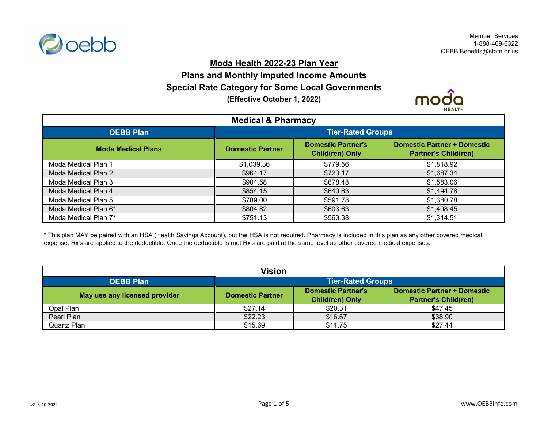

#### **Moda Health 2022-23 Plan Year**

# **Plans and Monthly Imputed Income Amounts Special Rate Category for Some Local Governments (Effective October 1, 2022)**



| <b>Medical &amp; Pharmacy</b> |                          |                                                     |                                                                   |
|-------------------------------|--------------------------|-----------------------------------------------------|-------------------------------------------------------------------|
| <b>OEBB Plan</b>              | <b>Tier-Rated Groups</b> |                                                     |                                                                   |
| <b>Moda Medical Plans</b>     | <b>Domestic Partner</b>  | <b>Domestic Partner's</b><br><b>Child(ren) Only</b> | <b>Domestic Partner + Domestic</b><br><b>Partner's Child(ren)</b> |
| Moda Medical Plan 1           | \$1,039.36               | \$779.56                                            | \$1,818.92                                                        |
| Moda Medical Plan 2           | \$964.17                 | \$723.17                                            | \$1,687.34                                                        |
| Moda Medical Plan 3           | \$904.58                 | \$678.48                                            | \$1,583.06                                                        |
| Moda Medical Plan 4           | \$854.15                 | \$640.63                                            | \$1,494.78                                                        |
| Moda Medical Plan 5           | \$789.00                 | \$591.78                                            | \$1,380.78                                                        |
| Moda Medical Plan 6*          | \$804.82                 | \$603.63                                            | \$1,408.45                                                        |
| Moda Medical Plan 7*          | \$751.13                 | \$563.38                                            | \$1,314.51                                                        |

\* This plan MAY be paired with an HSA (Health Savings Account), but the HSA is not required. Pharmacy is included in this plan as any other covered medical expense. Rx's are applied to the deductible. Once the deductible is met Rx's are paid at the same level as other covered medical expenses.

| <b>Vision</b>                 |                                                                                                                                              |         |         |  |
|-------------------------------|----------------------------------------------------------------------------------------------------------------------------------------------|---------|---------|--|
| <b>OEBB Plan</b>              | <b>Tier-Rated Groups</b>                                                                                                                     |         |         |  |
| May use any licensed provider | Domestic Partner's<br><b>Domestic Partner + Domestic</b><br><b>Domestic Partner</b><br><b>Partner's Child(ren)</b><br><b>Child(ren) Only</b> |         |         |  |
| Opal Plan                     | \$27.14                                                                                                                                      | \$20.31 | \$47.45 |  |
| Pearl Plan                    | \$22.23                                                                                                                                      | \$16.67 | \$38.90 |  |
| Quartz Plan                   | \$15.69                                                                                                                                      | \$11.75 | \$27.44 |  |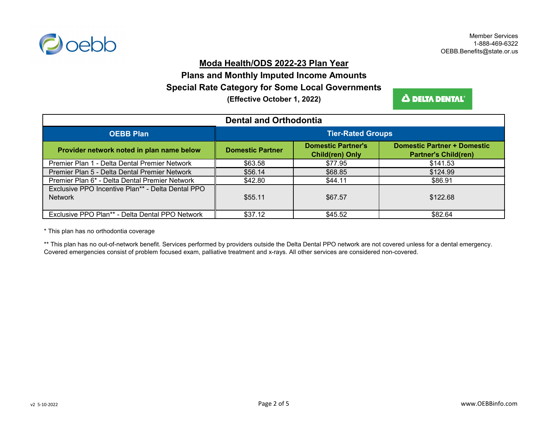

### **Moda Health/ODS 2022-23 Plan Year**

# **(Effective October 1, 2022) Special Rate Category for Some Local Governments Plans and Monthly Imputed Income Amounts**

**A DELTA DENTAL** 

| <b>Dental and Orthodontia</b>                                       |                          |                                                     |                                                                   |
|---------------------------------------------------------------------|--------------------------|-----------------------------------------------------|-------------------------------------------------------------------|
| <b>OEBB Plan</b>                                                    | <b>Tier-Rated Groups</b> |                                                     |                                                                   |
| Provider network noted in plan name below                           | <b>Domestic Partner</b>  | <b>Domestic Partner's</b><br><b>Child(ren) Only</b> | <b>Domestic Partner + Domestic</b><br><b>Partner's Child(ren)</b> |
| Premier Plan 1 - Delta Dental Premier Network                       | \$63.58                  | \$77.95                                             | \$141.53                                                          |
| Premier Plan 5 - Delta Dental Premier Network                       | \$56.14                  | \$68.85                                             | \$124.99                                                          |
| Premier Plan 6* - Delta Dental Premier Network                      | \$42.80                  | \$44.11                                             | \$86.91                                                           |
| Exclusive PPO Incentive Plan** - Delta Dental PPO<br><b>Network</b> | \$55.11                  | \$67.57                                             | \$122.68                                                          |
| Exclusive PPO Plan** - Delta Dental PPO Network                     | \$37.12                  | \$45.52                                             | \$82.64                                                           |

\* This plan has no orthodontia coverage

\*\* This plan has no out-of-network benefit. Services performed by providers outside the Delta Dental PPO network are not covered unless for a dental emergency. Covered emergencies consist of problem focused exam, palliative treatment and x-rays. All other services are considered non-covered.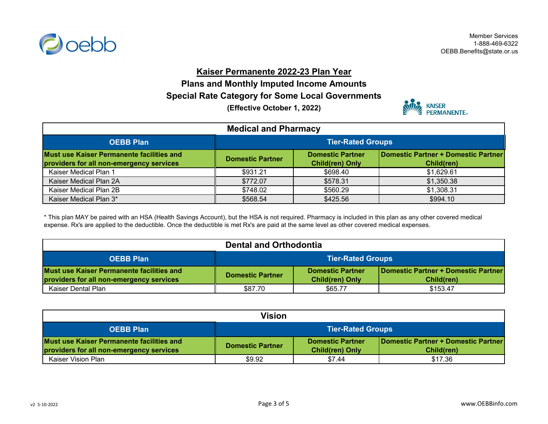

Member Services 1-888-469-6322 OEBB.Benefits@state.or.us

### **Kaiser Permanente 2022-23 Plan Year**

**Plans and Monthly Imputed Income Amounts Special Rate Category for Some Local Governments**

**(Effective October 1, 2022)**



| <b>Medical and Pharmacy</b>                                                           |                                                                                                                                   |          |            |  |
|---------------------------------------------------------------------------------------|-----------------------------------------------------------------------------------------------------------------------------------|----------|------------|--|
| <b>OEBB Plan</b>                                                                      | <b>Tier-Rated Groups</b>                                                                                                          |          |            |  |
| Must use Kaiser Permanente facilities and<br>providers for all non-emergency services | Domestic Partner + Domestic Partner<br><b>Domestic Partner</b><br><b>Domestic Partner</b><br><b>Child(ren) Only</b><br>Child(ren) |          |            |  |
| Kaiser Medical Plan 1                                                                 | \$931.21                                                                                                                          | \$698.40 | \$1,629.61 |  |
| Kaiser Medical Plan 2A                                                                | \$772.07                                                                                                                          | \$578.31 | \$1,350.38 |  |
| Kaiser Medical Plan 2B                                                                | \$748.02                                                                                                                          | \$560.29 | \$1,308.31 |  |
| Kaiser Medical Plan 3*                                                                | \$568.54                                                                                                                          | \$425.56 | \$994.10   |  |

\* This plan MAY be paired with an HSA (Health Savings Account), but the HSA is not required. Pharmacy is included in this plan as any other covered medical expense. Rx's are applied to the deductible. Once the deductible is met Rx's are paid at the same level as other covered medical expenses.

| <b>Dental and Orthodontia</b>                                                         |                                                                                                                                   |         |          |
|---------------------------------------------------------------------------------------|-----------------------------------------------------------------------------------------------------------------------------------|---------|----------|
| <b>OEBB Plan</b>                                                                      | <b>Tier-Rated Groups</b>                                                                                                          |         |          |
| Must use Kaiser Permanente facilities and<br>providers for all non-emergency services | Domestic Partner + Domestic Partner<br><b>Domestic Partner</b><br><b>Domestic Partner</b><br><b>Child(ren) Only</b><br>Child(ren) |         |          |
| Kaiser Dental Plan                                                                    | \$87.70                                                                                                                           | \$65.77 | \$153.47 |

| Vision                                                                                |                                                                                                                                   |        |         |
|---------------------------------------------------------------------------------------|-----------------------------------------------------------------------------------------------------------------------------------|--------|---------|
| <b>OEBB Plan</b>                                                                      | <b>Tier-Rated Groups</b>                                                                                                          |        |         |
| Must use Kaiser Permanente facilities and<br>providers for all non-emergency services | Domestic Partner + Domestic Partner<br><b>Domestic Partner</b><br><b>Domestic Partner</b><br><b>Child(ren) Only</b><br>Child(ren) |        |         |
| Kaiser Vision Plan                                                                    | \$9.92                                                                                                                            | \$7.44 | \$17.36 |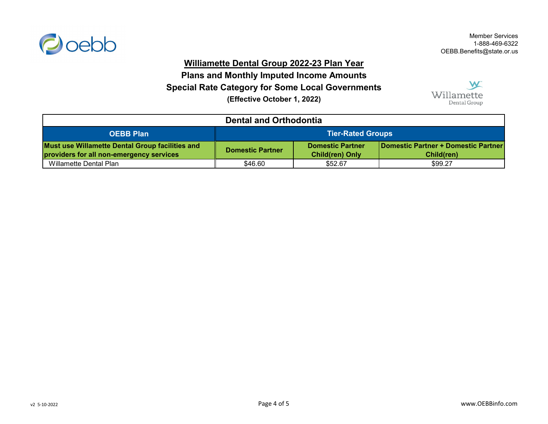

### **Williamette Dental Group 2022-23 Plan Year**

**(Effective October 1, 2022) Special Rate Category for Some Local Governments Plans and Monthly Imputed Income Amounts**



| <b>Dental and Orthodontia</b>                                                                      |                                                                                                                                          |         |         |
|----------------------------------------------------------------------------------------------------|------------------------------------------------------------------------------------------------------------------------------------------|---------|---------|
| <b>OEBB Plan</b>                                                                                   | <b>Tier-Rated Groups</b>                                                                                                                 |         |         |
| <b>Must use Willamette Dental Group facilities and</b><br>providers for all non-emergency services | <b>Domestic Partner + Domestic Partner</b><br><b>Domestic Partner</b><br><b>Domestic Partner</b><br><b>Child(ren) Only</b><br>Child(ren) |         |         |
| Willamette Dental Plan                                                                             | \$46.60                                                                                                                                  | \$52.67 | \$99.27 |